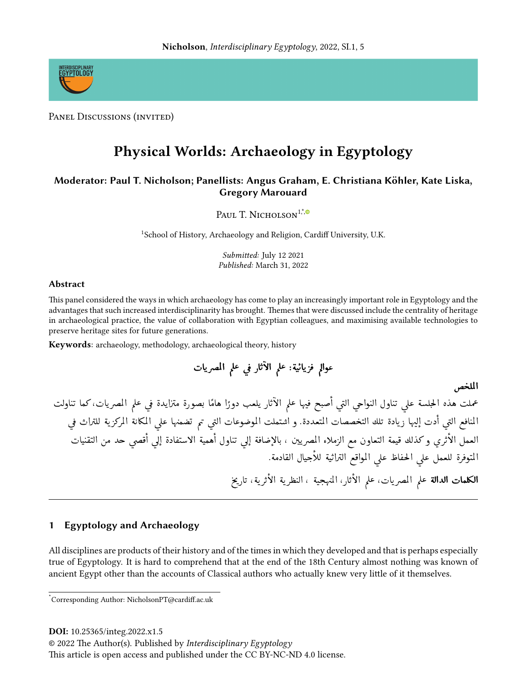

PANEL DISCUSSIONS (INVITED)

# **Physical Worlds: Archaeology in Egyptology**

# Moderator: Paul T. Nicholson; Panellists: Angus Graham, E. Christiana Köhler, Kate Liska, **Gregory Marouard**

PAUL T. NICHOLSON<sup>1,\*,®</sup>

<sup>1</sup>School of History, Archaeology and Religion, Cardiff University, U.K.

Submitted: July 12 2021 Published: March 31, 2022

## **Abstract**

This panel considered the ways in which archaeology has come to play an increasingly important role in Egyptology and the advantages that such increased interdisciplinarity has brought. Themes that were discussed include the centrality of heritage in archaeological practice, the value of collaboration with Egyptian colleagues, and maximising available technologies to preserve heritage sites for future generations.

Keywords: archaeology, methodology, archaeological theory, history

عوالم فزيائية: علم الأثار في علم المصريات

الملخص

عملت هذه الحِلسة على تناول النواحي التي أصبح فيها علم الآثار يلعب دورًا هامًا بصورة متزايدة في علم المصريات،كما تناولت المنافع التي أدت إليها زيادة تلك التخصصات المتعددة. و اشتملت الموضوعات التي تم تضمنها على المكانة المركزية للتراث في العمل الأثرى وكذلك قيمة التعاون مع الزملاء المصريين ، بالإضافة إلى تناول أهمية الاستفادة إلى أقصى حد من التقنيات المتوفرة للعمل على الحفاظ على المواقع التراثية للأجيال القادمة. **الكلمات الدالة** علم المصريات، علم الأثار، المنهجية ، النظرية الأثرية، تاريخ

#### **Egyptology and Archaeology** 1

All disciplines are products of their history and of the times in which they developed and that is perhaps especially true of Egyptology. It is hard to comprehend that at the end of the 18th Century almost nothing was known of ancient Egypt other than the accounts of Classical authors who actually knew very little of it themselves.

DOI: 10.25365/integ.2022.x1.5

© 2022 The Author(s). Published by Interdisciplinary Egyptology

This article is open access and published under the CC BY-NC-ND 4.0 license.

Corresponding Author: NicholsonPT@cardiff.ac.uk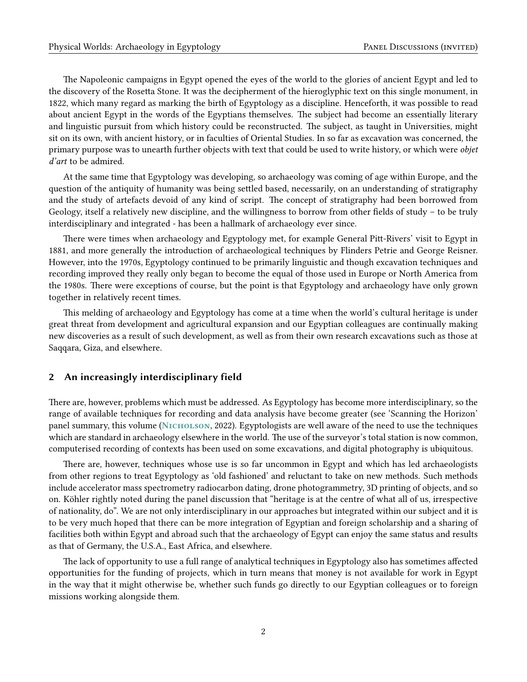The Napoleonic campaigns in Egypt opened the eyes of the world to the glories of ancient Egypt and led to the discovery of the Rosetta Stone. It was the decipherment of the hieroglyphic text on this single monument, in 1822, which many regard as marking the birth of Egyptology as a discipline. Henceforth, it was possible to read about ancient Egypt in the words of the Egyptians themselves. The subject had become an essentially literary and linguistic pursuit from which history could be reconstructed. The subject, as taught in Universities, might sit on its own, with ancient history, or in faculties of Oriental Studies. In so far as excavation was concerned, the primary purpose was to unearth further objects with text that could be used to write history, or which were objet d'art to be admired.

At the same time that Egyptology was developing, so archaeology was coming of age within Europe, and the question of the antiquity of humanity was being settled based, necessarily, on an understanding of stratigraphy and the study of artefacts devoid of any kind of script. The concept of stratigraphy had been borrowed from Geology, itself a relatively new discipline, and the willingness to borrow from other fields of study – to be truly interdisciplinary and integrated - has been a hallmark of archaeology ever since.

There were times when archaeology and Egyptology met, for example General Pitt-Rivers' visit to Egypt in 1881, and more generally the introduction of archaeological techniques by Flinders Petrie and George Reisner. However, into the 1970s, Egyptology continued to be primarily linguistic and though excavation techniques and recording improved they really only began to become the equal of those used in Europe or North America from the 1980s. There were exceptions of course, but the point is that Egyptology and archaeology have only grown together in relatively recent times.

This melding of archaeology and Egyptology has come at a time when the world's cultural heritage is under great threat from development and agricultural expansion and our Egyptian colleagues are continually making new discoveries as a result of such development, as well as from their own research excavations such as those at Saqqara, Giza, and elsewhere.

### 2 An increasingly interdisciplinary field

There are, however, problems which must be addressed. As Egyptology has become more interdisciplinary, so the range of available techniques for recording and data analysis have become greater (see 'Scanning the Horizon' panel summary, this volume (NICHOLSON, [2022\)](#page-3-0). Egyptologists are well aware of the need to use the techniques which are standard in archaeology elsewhere in the world. The use of the surveyor's total station is now common, computerised recording of contexts has been used on some excavations, and digital photography is ubiquitous.

There are, however, techniques whose use is so far uncommon in Egypt and which has led archaeologists from other regions to treat Egyptology as 'old fashioned' and reluctant to take on new methods. Such methods include accelerator mass spectrometry radiocarbon dating, drone photogrammetry, 3D printing of objects, and so on. Köhler rightly noted during the panel discussion that "heritage is at the centre of what all of us, irrespective of nationality, do". We are not only interdisciplinary in our approaches but integrated within our subject and it is to be very much hoped that there can be more integration of Egyptian and foreign scholarship and a sharing of facilities both within Egypt and abroad such that the archaeology of Egypt can enjoy the same status and results as that of Germany, the U.S.A., East Africa, and elsewhere.

The lack of opportunity to use a full range of analytical techniques in Egyptology also has sometimes affected opportunities for the funding of projects, which in turn means that money is not available for work in Egypt in the way that it might otherwise be, whether such funds go directly to our Egyptian colleagues or to foreign missions working alongside them.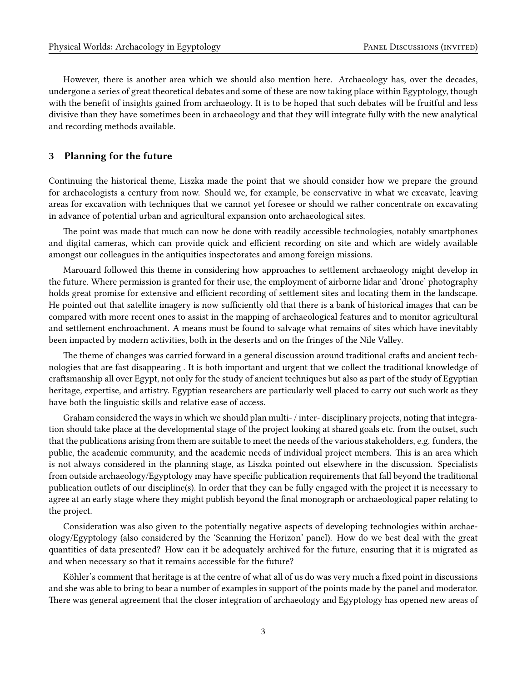However, there is another area which we should also mention here. Archaeology has, over the decades, undergone a series of great theoretical debates and some of these are now taking place within Egyptology, though with the benefit of insights gained from archaeology. It is to be hoped that such debates will be fruitful and less divisive than they have sometimes been in archaeology and that they will integrate fully with the new analytical and recording methods available.

## 3 Planning for the future

Continuing the historical theme, Liszka made the point that we should consider how we prepare the ground for archaeologists a century from now. Should we, for example, be conservative in what we excavate, leaving areas for excavation with techniques that we cannot yet foresee or should we rather concentrate on excavating in advance of potential urban and agricultural expansion onto archaeological sites.

The point was made that much can now be done with readily accessible technologies, notably smartphones and digital cameras, which can provide quick and efficient recording on site and which are widely available amongst our colleagues in the antiquities inspectorates and among foreign missions.

Marouard followed this theme in considering how approaches to settlement archaeology might develop in the future. Where permission is granted for their use, the employment of airborne lidar and 'drone' photography holds great promise for extensive and efficient recording of settlement sites and locating them in the landscape. He pointed out that satellite imagery is now sufficiently old that there is a bank of historical images that can be compared with more recent ones to assist in the mapping of archaeological features and to monitor agricultural and settlement enchroachment. A means must be found to salvage what remains of sites which have inevitably been impacted by modern activities, both in the deserts and on the fringes of the Nile Valley.

The theme of changes was carried forward in a general discussion around traditional crafts and ancient technologies that are fast disappearing . It is both important and urgent that we collect the traditional knowledge of craftsmanship all over Egypt, not only for the study of ancient techniques but also as part of the study of Egyptian heritage, expertise, and artistry. Egyptian researchers are particularly well placed to carry out such work as they have both the linguistic skills and relative ease of access.

Graham considered the ways in which we should plan multi- / inter- disciplinary projects, noting that integration should take place at the developmental stage of the project looking at shared goals etc. from the outset, such that the publications arising from them are suitable to meet the needs of the various stakeholders, e.g. funders, the public, the academic community, and the academic needs of individual project members. This is an area which is not always considered in the planning stage, as Liszka pointed out elsewhere in the discussion. Specialists from outside archaeology/Egyptology may have specific publication requirements that fall beyond the traditional publication outlets of our discipline(s). In order that they can be fully engaged with the project it is necessary to agree at an early stage where they might publish beyond the final monograph or archaeological paper relating to the project.

Consideration was also given to the potentially negative aspects of developing technologies within archaeology/Egyptology (also considered by the 'Scanning the Horizon' panel). How do we best deal with the great quantities of data presented? How can it be adequately archived for the future, ensuring that it is migrated as and when necessary so that it remains accessible for the future?

Köhler's comment that heritage is at the centre of what all of us do was very much a fixed point in discussions and she was able to bring to bear a number of examples in support of the points made by the panel and moderator. There was general agreement that the closer integration of archaeology and Egyptology has opened new areas of